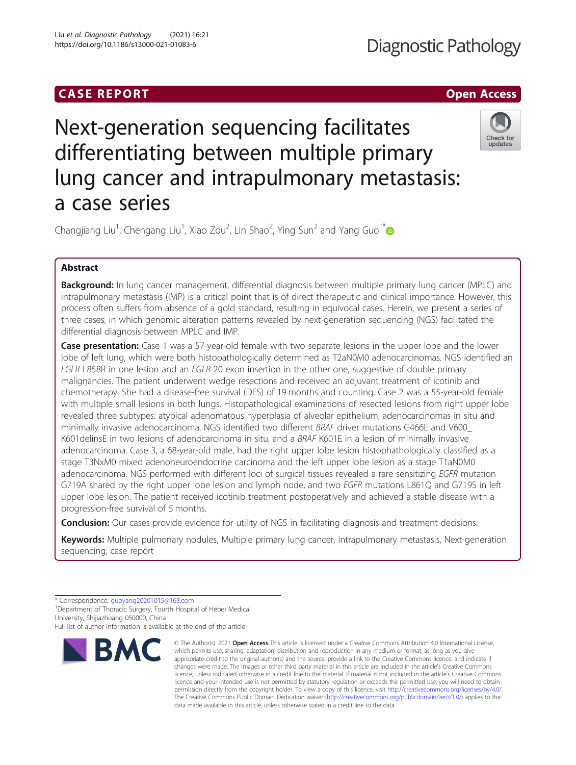# **CASE REPORT CASE ACCESS**

# **Diagnostic Pathology**

# Next-generation sequencing facilitates differentiating between multiple primary lung cancer and intrapulmonary metastasis: a case series



Changjiang Liu<sup>1</sup>, Chengang Liu<sup>1</sup>, Xiao Zou<sup>2</sup>, Lin Shao<sup>2</sup>, Ying Sun<sup>2</sup> and Yang Guo<sup>1\*</sup>

# Abstract

Background: In lung cancer management, differential diagnosis between multiple primary lung cancer (MPLC) and intrapulmonary metastasis (IMP) is a critical point that is of direct therapeutic and clinical importance. However, this process often suffers from absence of a gold standard, resulting in equivocal cases. Herein, we present a series of three cases, in which genomic alteration patterns revealed by next-generation sequencing (NGS) facilitated the differential diagnosis between MPLC and IMP.

**Case presentation:** Case 1 was a 57-year-old female with two separate lesions in the upper lobe and the lower lobe of left lung, which were both histopathologically determined as T2aN0M0 adenocarcinomas. NGS identified an EGFR L858R in one lesion and an EGFR 20 exon insertion in the other one, suggestive of double primary malignancies. The patient underwent wedge resections and received an adjuvant treatment of icotinib and chemotherapy. She had a disease-free survival (DFS) of 19 months and counting. Case 2 was a 55-year-old female with multiple small lesions in both lungs. Histopathological examinations of resected lesions from right upper lobe revealed three subtypes: atypical adenomatous hyperplasia of alveolar epithelium, adenocarcinomas in situ and minimally invasive adenocarcinoma. NGS identified two different BRAF driver mutations G466E and V600\_ K601delinsE in two lesions of adenocarcinoma in situ, and a BRAF K601E in a lesion of minimally invasive adenocarcinoma. Case 3, a 68-year-old male, had the right upper lobe lesion histophathologically classified as a stage T3NxM0 mixed adenoneuroendocrine carcinoma and the left upper lobe lesion as a stage T1aN0M0 adenocarcinoma. NGS performed with different loci of surgical tissues revealed a rare sensitizing EGFR mutation G719A shared by the right upper lobe lesion and lymph node, and two EGFR mutations L861Q and G719S in left upper lobe lesion. The patient received icotinib treatment postoperatively and achieved a stable disease with a progression-free survival of 5 months.

**Conclusion:** Our cases provide evidence for utility of NGS in facilitating diagnosis and treatment decisions.

Keywords: Multiple pulmonary nodules, Multiple primary lung cancer, Intrapulmonary metastasis, Next-generation sequencing; case report

Full list of author information is available at the end of the article



<sup>©</sup> The Author(s), 2021 **Open Access** This article is licensed under a Creative Commons Attribution 4.0 International License, which permits use, sharing, adaptation, distribution and reproduction in any medium or format, as long as you give appropriate credit to the original author(s) and the source, provide a link to the Creative Commons licence, and indicate if changes were made. The images or other third party material in this article are included in the article's Creative Commons licence, unless indicated otherwise in a credit line to the material. If material is not included in the article's Creative Commons licence and your intended use is not permitted by statutory regulation or exceeds the permitted use, you will need to obtain permission directly from the copyright holder. To view a copy of this licence, visit [http://creativecommons.org/licenses/by/4.0/.](http://creativecommons.org/licenses/by/4.0/) The Creative Commons Public Domain Dedication waiver [\(http://creativecommons.org/publicdomain/zero/1.0/](http://creativecommons.org/publicdomain/zero/1.0/)) applies to the data made available in this article, unless otherwise stated in a credit line to the data.

<sup>\*</sup> Correspondence: [guoyang20201015@163.com](mailto:guoyang20201015@163.com) <sup>1</sup> <sup>1</sup> Department of Thoracic Surgery, Fourth Hospital of Hebei Medical University, Shijiazhuang 050000, China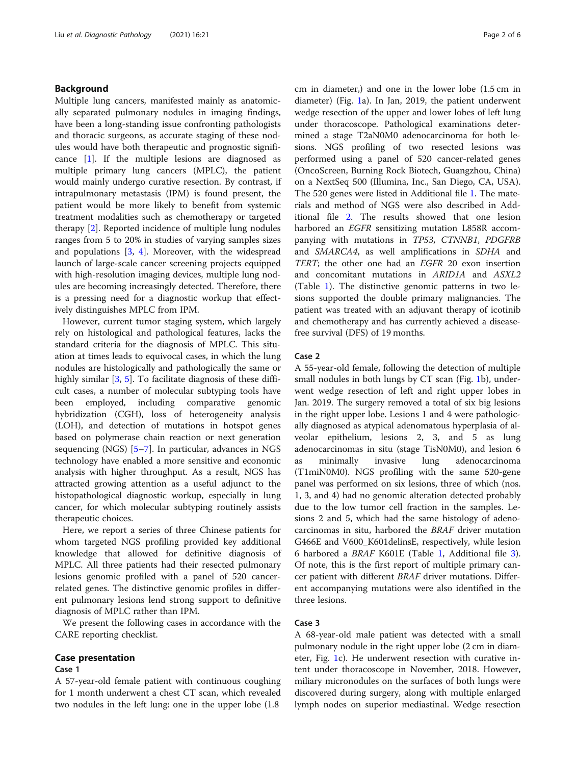# Background

Multiple lung cancers, manifested mainly as anatomically separated pulmonary nodules in imaging findings, have been a long-standing issue confronting pathologists and thoracic surgeons, as accurate staging of these nodules would have both therapeutic and prognostic significance [[1\]](#page-5-0). If the multiple lesions are diagnosed as multiple primary lung cancers (MPLC), the patient would mainly undergo curative resection. By contrast, if intrapulmonary metastasis (IPM) is found present, the patient would be more likely to benefit from systemic treatment modalities such as chemotherapy or targeted therapy [[2\]](#page-5-0). Reported incidence of multiple lung nodules ranges from 5 to 20% in studies of varying samples sizes and populations  $[3, 4]$  $[3, 4]$  $[3, 4]$  $[3, 4]$  $[3, 4]$ . Moreover, with the widespread launch of large-scale cancer screening projects equipped with high-resolution imaging devices, multiple lung nodules are becoming increasingly detected. Therefore, there is a pressing need for a diagnostic workup that effectively distinguishes MPLC from IPM.

However, current tumor staging system, which largely rely on histological and pathological features, lacks the standard criteria for the diagnosis of MPLC. This situation at times leads to equivocal cases, in which the lung nodules are histologically and pathologically the same or highly similar [[3,](#page-5-0) [5\]](#page-5-0). To facilitate diagnosis of these difficult cases, a number of molecular subtyping tools have been employed, including comparative genomic hybridization (CGH), loss of heterogeneity analysis (LOH), and detection of mutations in hotspot genes based on polymerase chain reaction or next generation sequencing (NGS) [\[5](#page-5-0)–[7](#page-5-0)]. In particular, advances in NGS technology have enabled a more sensitive and economic analysis with higher throughput. As a result, NGS has attracted growing attention as a useful adjunct to the histopathological diagnostic workup, especially in lung cancer, for which molecular subtyping routinely assists therapeutic choices.

Here, we report a series of three Chinese patients for whom targeted NGS profiling provided key additional knowledge that allowed for definitive diagnosis of MPLC. All three patients had their resected pulmonary lesions genomic profiled with a panel of 520 cancerrelated genes. The distinctive genomic profiles in different pulmonary lesions lend strong support to definitive diagnosis of MPLC rather than IPM.

We present the following cases in accordance with the CARE reporting checklist.

### Case presentation

#### Case 1

A 57-year-old female patient with continuous coughing for 1 month underwent a chest CT scan, which revealed two nodules in the left lung: one in the upper lobe (1.8

cm in diameter,) and one in the lower lobe (1.5 cm in diameter) (Fig. [1](#page-2-0)a). In Jan, 2019, the patient underwent wedge resection of the upper and lower lobes of left lung under thoracoscope. Pathological examinations determined a stage T2aN0M0 adenocarcinoma for both lesions. NGS profiling of two resected lesions was performed using a panel of 520 cancer-related genes (OncoScreen, Burning Rock Biotech, Guangzhou, China) on a NextSeq 500 (Illumina, Inc., San Diego, CA, USA). The 520 genes were listed in Additional file [1.](#page-4-0) The materials and method of NGS were also described in Additional file [2.](#page-4-0) The results showed that one lesion harbored an EGFR sensitizing mutation L858R accompanying with mutations in TP53, CTNNB1, PDGFRB and SMARCA4, as well amplifications in SDHA and TERT; the other one had an EGFR 20 exon insertion and concomitant mutations in ARID1A and ASXL2 (Table [1\)](#page-3-0). The distinctive genomic patterns in two lesions supported the double primary malignancies. The patient was treated with an adjuvant therapy of icotinib and chemotherapy and has currently achieved a diseasefree survival (DFS) of 19 months.

#### Case 2

A 55-year-old female, following the detection of multiple small nodules in both lungs by CT scan (Fig. [1](#page-2-0)b), underwent wedge resection of left and right upper lobes in Jan. 2019. The surgery removed a total of six big lesions in the right upper lobe. Lesions 1 and 4 were pathologically diagnosed as atypical adenomatous hyperplasia of alveolar epithelium, lesions 2, 3, and 5 as lung adenocarcinomas in situ (stage TisN0M0), and lesion 6 as minimally invasive lung adenocarcinoma (T1miN0M0). NGS profiling with the same 520-gene panel was performed on six lesions, three of which (nos. 1, 3, and 4) had no genomic alteration detected probably due to the low tumor cell fraction in the samples. Lesions 2 and 5, which had the same histology of adenocarcinomas in situ, harbored the BRAF driver mutation G466E and V600\_K601delinsE, respectively, while lesion 6 harbored a BRAF K601E (Table [1,](#page-3-0) Additional file [3](#page-4-0)). Of note, this is the first report of multiple primary cancer patient with different BRAF driver mutations. Different accompanying mutations were also identified in the three lesions.

# Case 3

A 68-year-old male patient was detected with a small pulmonary nodule in the right upper lobe (2 cm in diameter, Fig. [1](#page-2-0)c). He underwent resection with curative intent under thoracoscope in November, 2018. However, miliary micronodules on the surfaces of both lungs were discovered during surgery, along with multiple enlarged lymph nodes on superior mediastinal. Wedge resection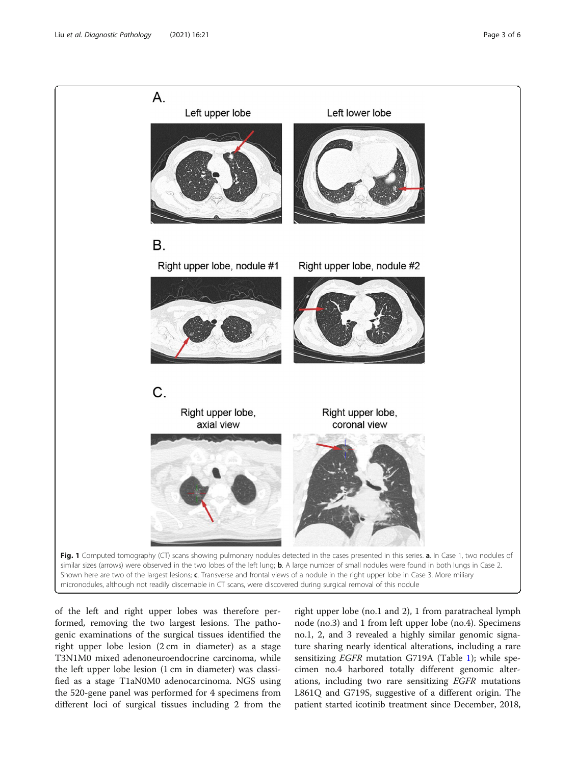<span id="page-2-0"></span>

of the left and right upper lobes was therefore performed, removing the two largest lesions. The pathogenic examinations of the surgical tissues identified the right upper lobe lesion (2 cm in diameter) as a stage T3N1M0 mixed adenoneuroendocrine carcinoma, while the left upper lobe lesion (1 cm in diameter) was classified as a stage T1aN0M0 adenocarcinoma. NGS using the 520-gene panel was performed for 4 specimens from different loci of surgical tissues including 2 from the

right upper lobe (no.1 and 2), 1 from paratracheal lymph node (no.3) and 1 from left upper lobe (no.4). Specimens no.1, 2, and 3 revealed a highly similar genomic signature sharing nearly identical alterations, including a rare sensitizing EGFR mutation G719A (Table [1](#page-3-0)); while specimen no.4 harbored totally different genomic alterations, including two rare sensitizing EGFR mutations L861Q and G719S, suggestive of a different origin. The patient started icotinib treatment since December, 2018,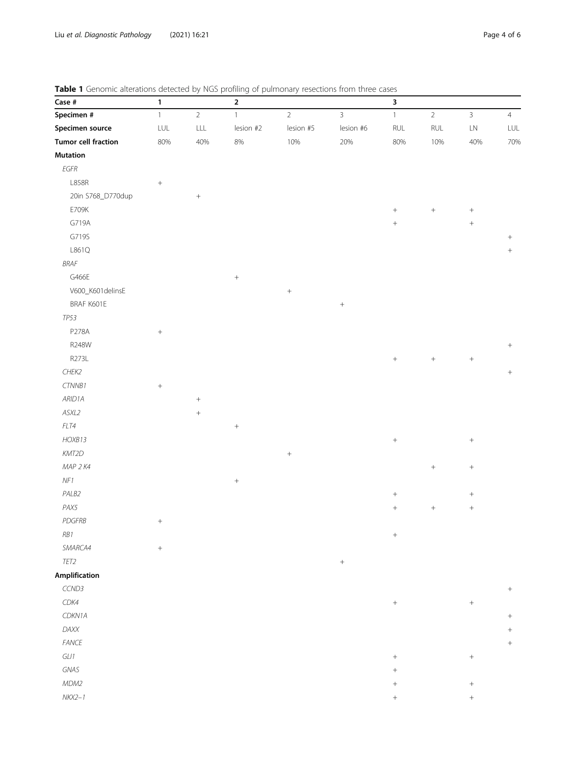<span id="page-3-0"></span>

|  |  |  |  | Table 1 Genomic alterations detected by NGS profiling of pulmonary resections from three cases |  |
|--|--|--|--|------------------------------------------------------------------------------------------------|--|
|  |  |  |  |                                                                                                |  |

| Case #                     | 1                           |                | $\mathbf 2$      |                  |                  | 3                |                  |                  |                |
|----------------------------|-----------------------------|----------------|------------------|------------------|------------------|------------------|------------------|------------------|----------------|
| Specimen #                 | $\mathbbm{1}$               | $\overline{2}$ | $\mathbf{1}$     | $\overline{2}$   | $\mathbf{3}$     | $\mathbf{1}$     | $\overline{2}$   | $\mathbf{3}$     | $\overline{4}$ |
| Specimen source            | $\ensuremath{\mathsf{LUL}}$ | $\mathsf{LLL}$ | lesion #2        | lesion #5        | lesion #6        | $\mathsf{RUL}$   | $\mathsf{RUL}$   | ${\sf LN}$       | LUL            |
| <b>Tumor cell fraction</b> | 80%                         | 40%            | 8%               | 10%              | 20%              | 80%              | 10%              | 40%              | 70%            |
| <b>Mutation</b>            |                             |                |                  |                  |                  |                  |                  |                  |                |
| $EGFR$                     |                             |                |                  |                  |                  |                  |                  |                  |                |
| L858R                      | $\boldsymbol{+}$            |                |                  |                  |                  |                  |                  |                  |                |
| 20in S768_D770dup          |                             |                |                  |                  |                  |                  |                  |                  |                |
| E709K                      |                             |                |                  |                  |                  | $\! + \!\!\!\!$  | $\boldsymbol{+}$ | $\! +$           |                |
| G719A                      |                             |                |                  |                  |                  | $\! +$           |                  | $\boldsymbol{+}$ |                |
| G719S                      |                             |                |                  |                  |                  |                  |                  |                  |                |
| L861Q                      |                             |                |                  |                  |                  |                  |                  |                  | $^{+}$         |
| BRAF                       |                             |                |                  |                  |                  |                  |                  |                  |                |
| G466E                      |                             |                | $\! + \!\!\!\!$  |                  |                  |                  |                  |                  |                |
| V600_K601 delinsE          |                             |                |                  | $\boldsymbol{+}$ |                  |                  |                  |                  |                |
| BRAF K601E                 |                             |                |                  |                  | $\boldsymbol{+}$ |                  |                  |                  |                |
| TP53                       |                             |                |                  |                  |                  |                  |                  |                  |                |
| P278A                      | $\boldsymbol{+}$            |                |                  |                  |                  |                  |                  |                  |                |
| R248W                      |                             |                |                  |                  |                  |                  |                  |                  |                |
| R273L                      |                             |                |                  |                  |                  | $\! + \!\!\!\!$  |                  | $\boldsymbol{+}$ |                |
| CHEK2                      |                             |                |                  |                  |                  |                  |                  |                  | $\! + \!$      |
| CTNNB1                     | $\boldsymbol{+}$            |                |                  |                  |                  |                  |                  |                  |                |
| ARID1A                     |                             |                |                  |                  |                  |                  |                  |                  |                |
| ASXL2                      |                             | $^{+}$         |                  |                  |                  |                  |                  |                  |                |
| FLT4                       |                             |                | $\boldsymbol{+}$ |                  |                  |                  |                  |                  |                |
| HOXB13                     |                             |                |                  |                  |                  | $\! + \!\!\!\!$  |                  | $+$              |                |
| KMT2D                      |                             |                |                  | $^+$             |                  |                  |                  |                  |                |
| MAP 2 K4                   |                             |                |                  |                  |                  |                  | $\boldsymbol{+}$ | $\boldsymbol{+}$ |                |
| $N\!F1$                    |                             |                | $\! +$           |                  |                  |                  |                  |                  |                |
| PALB2                      |                             |                |                  |                  |                  | $\! +$           |                  | $\! + \!\!\!\!$  |                |
| PAX5                       |                             |                |                  |                  |                  | $\! +$           | $\boldsymbol{+}$ | $\boldsymbol{+}$ |                |
| PDGFRB                     | $\boldsymbol{+}$            |                |                  |                  |                  |                  |                  |                  |                |
| $RB1$                      |                             |                |                  |                  |                  | $\boldsymbol{+}$ |                  |                  |                |
| SMARCA4                    | $\boldsymbol{+}$            |                |                  |                  |                  |                  |                  |                  |                |
| TET2                       |                             |                |                  |                  | $\boldsymbol{+}$ |                  |                  |                  |                |
| Amplification              |                             |                |                  |                  |                  |                  |                  |                  |                |
| CCND3                      |                             |                |                  |                  |                  |                  |                  |                  |                |
| CDK4                       |                             |                |                  |                  |                  | $\boldsymbol{+}$ |                  | $\boldsymbol{+}$ |                |
| CDKN1A                     |                             |                |                  |                  |                  |                  |                  |                  | $\! + \!$      |
| DAXX                       |                             |                |                  |                  |                  |                  |                  |                  | $\! + \!$      |
| ${\it FANCE}$              |                             |                |                  |                  |                  |                  |                  |                  | $\! + \!$      |
| $GL11$                     |                             |                |                  |                  |                  | $+$              |                  | $\! +$           |                |
| GNAS                       |                             |                |                  |                  |                  |                  |                  |                  |                |
| MDM2                       |                             |                |                  |                  |                  | $^{+}$           |                  | $\! + \!\!\!\!$  |                |
| $NKX2-1$                   |                             |                |                  |                  |                  |                  |                  | $+$              |                |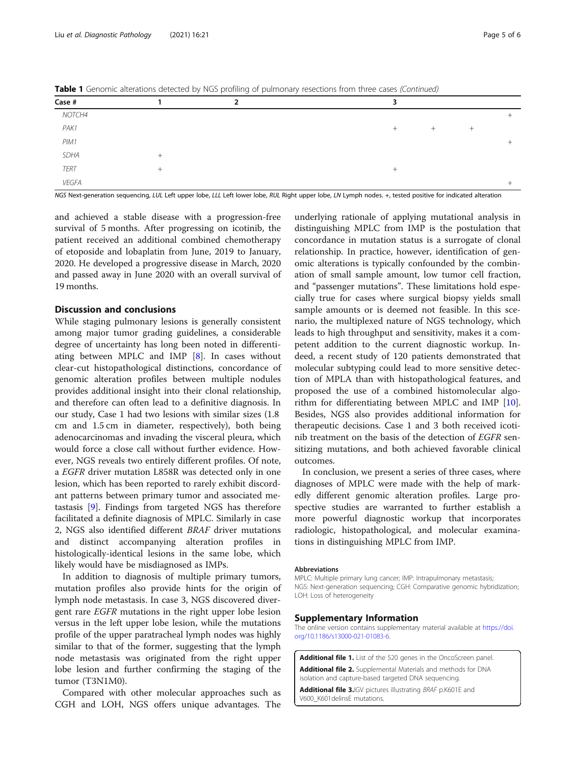<span id="page-4-0"></span>**Table 1** Genomic alterations detected by NGS profiling of pulmonary resections from three cases (Continued)

| Case #      | was a construction actes by the proming or painterially research members (commany |      |        |        |  |
|-------------|-----------------------------------------------------------------------------------|------|--------|--------|--|
| NOTCH4      |                                                                                   |      |        |        |  |
| PAK1        |                                                                                   | $^+$ | $^{+}$ | $^{+}$ |  |
| PIM1        |                                                                                   |      |        |        |  |
| <b>SDHA</b> |                                                                                   |      |        |        |  |
| <b>TERT</b> |                                                                                   | $^+$ |        |        |  |
| VEGFA       |                                                                                   |      |        |        |  |

NGS Next-generation sequencing, LUL Left upper lobe, LLL Left lower lobe, RUL Right upper lobe, LN Lymph nodes. +, tested positive for indicated alteration

and achieved a stable disease with a progression-free survival of 5 months. After progressing on icotinib, the patient received an additional combined chemotherapy of etoposide and lobaplatin from June, 2019 to January, 2020. He developed a progressive disease in March, 2020 and passed away in June 2020 with an overall survival of 19 months.

### Discussion and conclusions

While staging pulmonary lesions is generally consistent among major tumor grading guidelines, a considerable degree of uncertainty has long been noted in differentiating between MPLC and IMP [\[8](#page-5-0)]. In cases without clear-cut histopathological distinctions, concordance of genomic alteration profiles between multiple nodules provides additional insight into their clonal relationship, and therefore can often lead to a definitive diagnosis. In our study, Case 1 had two lesions with similar sizes (1.8 cm and 1.5 cm in diameter, respectively), both being adenocarcinomas and invading the visceral pleura, which would force a close call without further evidence. However, NGS reveals two entirely different profiles. Of note, a EGFR driver mutation L858R was detected only in one lesion, which has been reported to rarely exhibit discordant patterns between primary tumor and associated metastasis [[9\]](#page-5-0). Findings from targeted NGS has therefore facilitated a definite diagnosis of MPLC. Similarly in case 2, NGS also identified different BRAF driver mutations and distinct accompanying alteration profiles in histologically-identical lesions in the same lobe, which likely would have be misdiagnosed as IMPs.

In addition to diagnosis of multiple primary tumors, mutation profiles also provide hints for the origin of lymph node metastasis. In case 3, NGS discovered divergent rare EGFR mutations in the right upper lobe lesion versus in the left upper lobe lesion, while the mutations profile of the upper paratracheal lymph nodes was highly similar to that of the former, suggesting that the lymph node metastasis was originated from the right upper lobe lesion and further confirming the staging of the tumor (T3N1M0).

Compared with other molecular approaches such as CGH and LOH, NGS offers unique advantages. The

underlying rationale of applying mutational analysis in distinguishing MPLC from IMP is the postulation that concordance in mutation status is a surrogate of clonal relationship. In practice, however, identification of genomic alterations is typically confounded by the combination of small sample amount, low tumor cell fraction, and "passenger mutations". These limitations hold especially true for cases where surgical biopsy yields small sample amounts or is deemed not feasible. In this scenario, the multiplexed nature of NGS technology, which leads to high throughput and sensitivity, makes it a competent addition to the current diagnostic workup. Indeed, a recent study of 120 patients demonstrated that molecular subtyping could lead to more sensitive detection of MPLA than with histopathological features, and proposed the use of a combined histomolecular algorithm for differentiating between MPLC and IMP [\[10](#page-5-0)]. Besides, NGS also provides additional information for therapeutic decisions. Case 1 and 3 both received icotinib treatment on the basis of the detection of EGFR sensitizing mutations, and both achieved favorable clinical outcomes.

In conclusion, we present a series of three cases, where diagnoses of MPLC were made with the help of markedly different genomic alteration profiles. Large prospective studies are warranted to further establish a more powerful diagnostic workup that incorporates radiologic, histopathological, and molecular examinations in distinguishing MPLC from IMP.

#### Abbreviations

MPLC: Multiple primary lung cancer; IMP: Intrapulmonary metastasis; NGS: Next-generation sequencing; CGH: Comparative genomic hybridization; LOH: Loss of heterogeneity

#### Supplementary Information

The online version contains supplementary material available at [https://doi.](https://doi.org/10.1186/s13000-021-01083-6) [org/10.1186/s13000-021-01083-6.](https://doi.org/10.1186/s13000-021-01083-6)

Additional file 1. List of the 520 genes in the OncoScreen panel. Additional file 2. Supplemental Materials and methods for DNA isolation and capture-based targeted DNA sequencing.

Additional file 3.IGV pictures illustrating BRAF p.K601E and V600\_K601delinsE mutations.